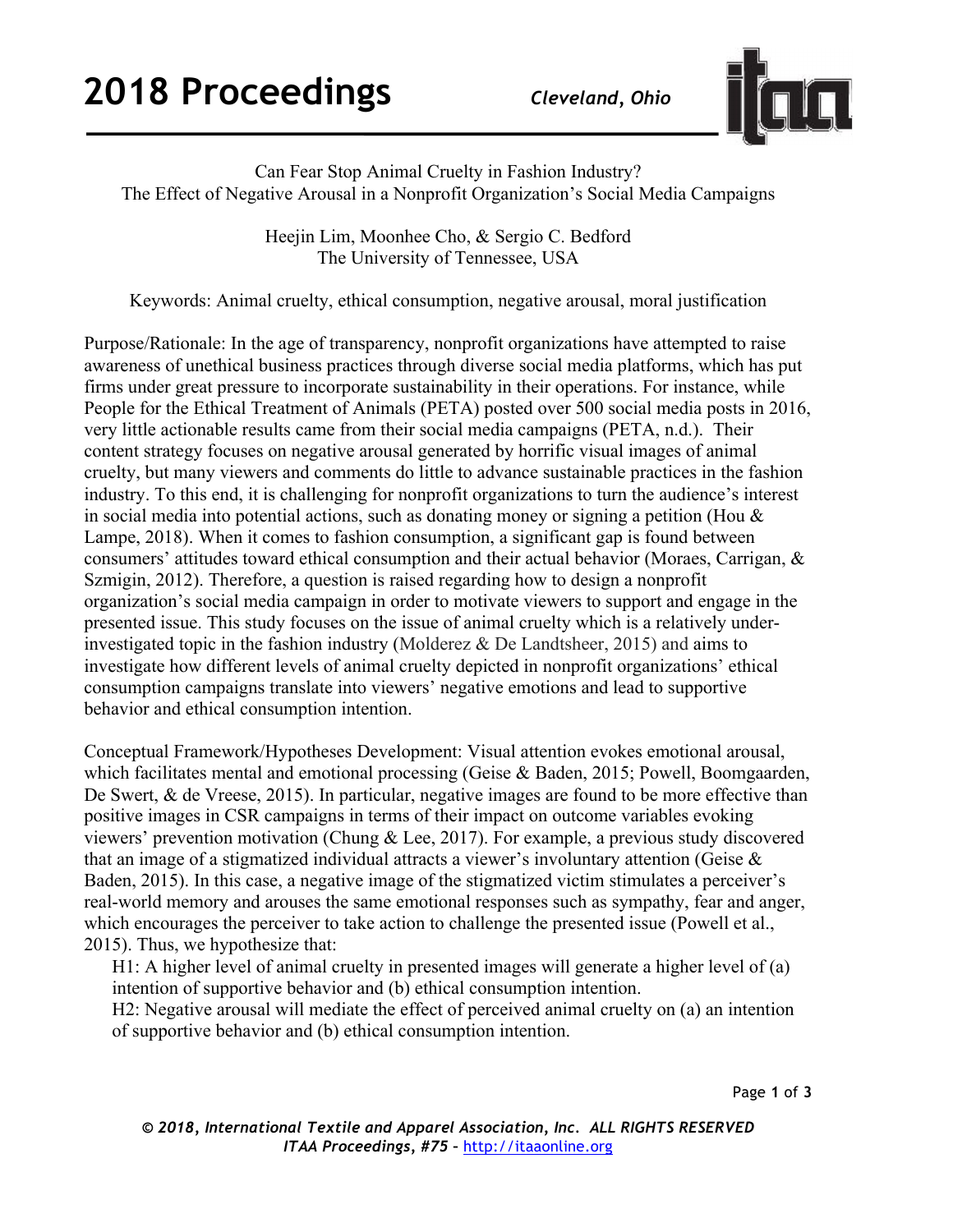

Can Fear Stop Animal Cruelty in Fashion Industry? The Effect of Negative Arousal in a Nonprofit Organization's Social Media Campaigns

> Heejin Lim, Moonhee Cho, & Sergio C. Bedford The University of Tennessee, USA

Keywords: Animal cruelty, ethical consumption, negative arousal, moral justification

Purpose/Rationale: In the age of transparency, nonprofit organizations have attempted to raise awareness of unethical business practices through diverse social media platforms, which has put firms under great pressure to incorporate sustainability in their operations. For instance, while People for the Ethical Treatment of Animals (PETA) posted over 500 social media posts in 2016, very little actionable results came from their social media campaigns (PETA, n.d.). Their content strategy focuses on negative arousal generated by horrific visual images of animal cruelty, but many viewers and comments do little to advance sustainable practices in the fashion industry. To this end, it is challenging for nonprofit organizations to turn the audience's interest in social media into potential actions, such as donating money or signing a petition (Hou & Lampe, 2018). When it comes to fashion consumption, a significant gap is found between consumers' attitudes toward ethical consumption and their actual behavior (Moraes, Carrigan, & Szmigin, 2012). Therefore, a question is raised regarding how to design a nonprofit organization's social media campaign in order to motivate viewers to support and engage in the presented issue. This study focuses on the issue of animal cruelty which is a relatively underinvestigated topic in the fashion industry (Molderez & De Landtsheer, 2015) and aims to investigate how different levels of animal cruelty depicted in nonprofit organizations' ethical consumption campaigns translate into viewers' negative emotions and lead to supportive behavior and ethical consumption intention.

Conceptual Framework/Hypotheses Development: Visual attention evokes emotional arousal, which facilitates mental and emotional processing (Geise & Baden, 2015; Powell, Boomgaarden, De Swert, & de Vreese, 2015). In particular, negative images are found to be more effective than positive images in CSR campaigns in terms of their impact on outcome variables evoking viewers' prevention motivation (Chung & Lee, 2017). For example, a previous study discovered that an image of a stigmatized individual attracts a viewer's involuntary attention (Geise  $\&$ Baden, 2015). In this case, a negative image of the stigmatized victim stimulates a perceiver's real-world memory and arouses the same emotional responses such as sympathy, fear and anger, which encourages the perceiver to take action to challenge the presented issue (Powell et al., 2015). Thus, we hypothesize that:

H1: A higher level of animal cruelty in presented images will generate a higher level of (a) intention of supportive behavior and (b) ethical consumption intention.

H2: Negative arousal will mediate the effect of perceived animal cruelty on (a) an intention of supportive behavior and (b) ethical consumption intention.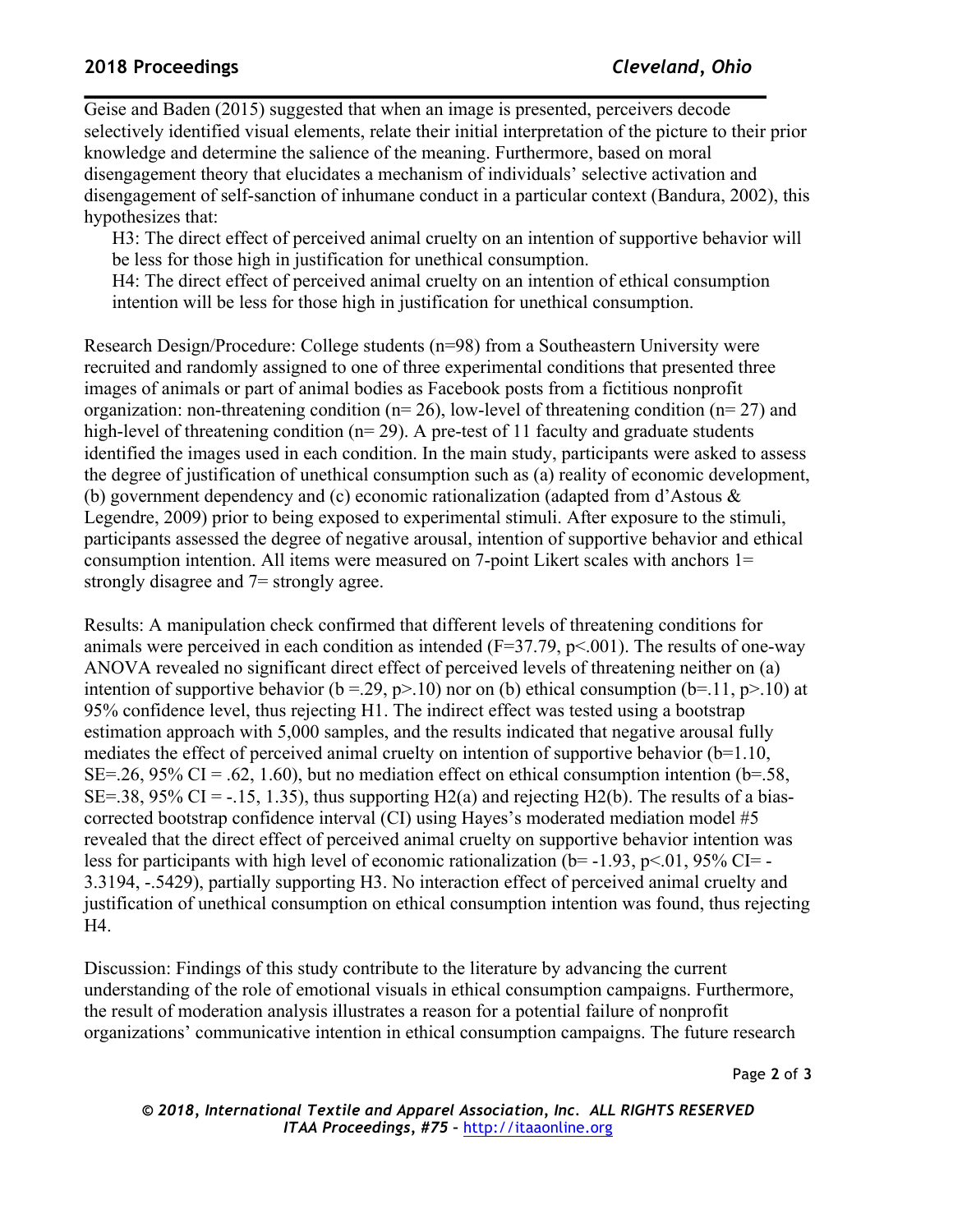## **2018 Proceedings** *Cleveland, Ohio*

Geise and Baden (2015) suggested that when an image is presented, perceivers decode selectively identified visual elements, relate their initial interpretation of the picture to their prior knowledge and determine the salience of the meaning. Furthermore, based on moral disengagement theory that elucidates a mechanism of individuals' selective activation and disengagement of self-sanction of inhumane conduct in a particular context (Bandura, 2002), this hypothesizes that:

H3: The direct effect of perceived animal cruelty on an intention of supportive behavior will be less for those high in justification for unethical consumption.

H4: The direct effect of perceived animal cruelty on an intention of ethical consumption intention will be less for those high in justification for unethical consumption.

Research Design/Procedure: College students (n=98) from a Southeastern University were recruited and randomly assigned to one of three experimental conditions that presented three images of animals or part of animal bodies as Facebook posts from a fictitious nonprofit organization: non-threatening condition ( $n=26$ ), low-level of threatening condition ( $n=27$ ) and high-level of threatening condition (n= 29). A pre-test of 11 faculty and graduate students identified the images used in each condition. In the main study, participants were asked to assess the degree of justification of unethical consumption such as (a) reality of economic development, (b) government dependency and (c) economic rationalization (adapted from d'Astous & Legendre, 2009) prior to being exposed to experimental stimuli. After exposure to the stimuli, participants assessed the degree of negative arousal, intention of supportive behavior and ethical consumption intention. All items were measured on 7-point Likert scales with anchors 1= strongly disagree and 7= strongly agree.

Results: A manipulation check confirmed that different levels of threatening conditions for animals were perceived in each condition as intended  $(F=37.79, p<.001)$ . The results of one-way ANOVA revealed no significant direct effect of perceived levels of threatening neither on (a) intention of supportive behavior (b = 29, p>.10) nor on (b) ethical consumption (b=.11, p>.10) at 95% confidence level, thus rejecting H1. The indirect effect was tested using a bootstrap estimation approach with 5,000 samples, and the results indicated that negative arousal fully mediates the effect of perceived animal cruelty on intention of supportive behavior (b=1.10, SE=.26, 95% CI = .62, 1.60), but no mediation effect on ethical consumption intention ( $b$ =.58, SE=.38, 95% CI =  $-15$ , 1.35), thus supporting H2(a) and rejecting H2(b). The results of a biascorrected bootstrap confidence interval (CI) using Hayes's moderated mediation model #5 revealed that the direct effect of perceived animal cruelty on supportive behavior intention was less for participants with high level of economic rationalization ( $b$ = -1.93, p<.01, 95% CI= -3.3194, -.5429), partially supporting H3. No interaction effect of perceived animal cruelty and justification of unethical consumption on ethical consumption intention was found, thus rejecting H4.

Discussion: Findings of this study contribute to the literature by advancing the current understanding of the role of emotional visuals in ethical consumption campaigns. Furthermore, the result of moderation analysis illustrates a reason for a potential failure of nonprofit organizations' communicative intention in ethical consumption campaigns. The future research

Page **2** of **3**

*© 2018, International Textile and Apparel Association, Inc. ALL RIGHTS RESERVED ITAA Proceedings, #75 –* http://itaaonline.org